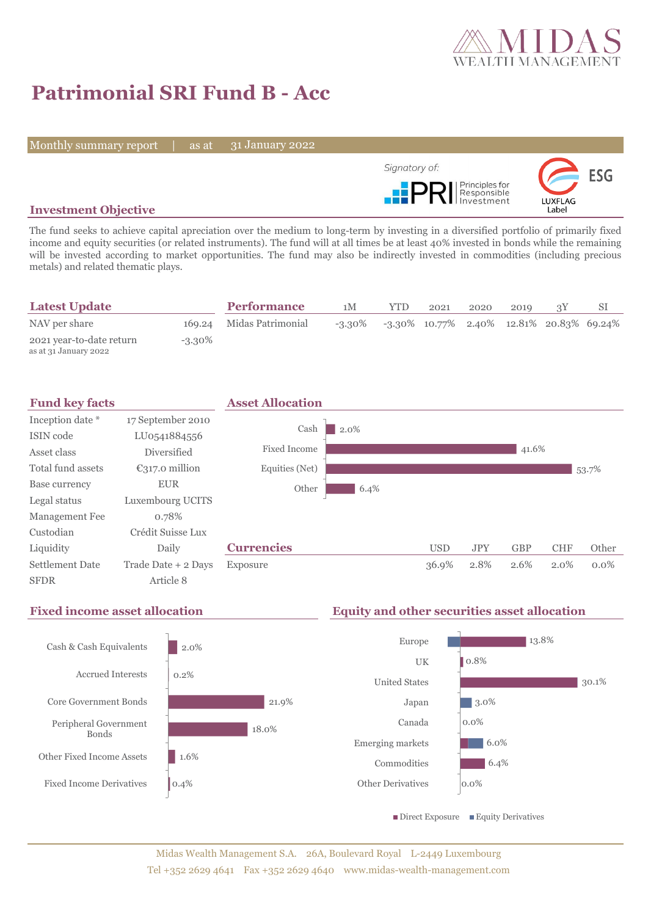

# **Patrimonial SRI Fund B - Acc**

Monthly summary report | as at

31 January 2022



### **Investment Objective**

The fund seeks to achieve capital apreciation over the medium to long-term by investing in a diversified portfolio of primarily fixed income and equity securities (or related instruments). The fund will at all times be at least 40% invested in bonds while the remaining will be invested according to market opportunities. The fund may also be indirectly invested in commodities (including precious metals) and related thematic plays.

| <b>Latest Update</b>                              |           | <b>Performance</b>       | 1M        | YTD. | 2021 | 2020 | 2019 |                                             |  |
|---------------------------------------------------|-----------|--------------------------|-----------|------|------|------|------|---------------------------------------------|--|
| NAV per share                                     |           | 169.24 Midas Patrimonial | $-3.30\%$ |      |      |      |      | $-3.30\%$ 10.77% 2.40% 12.81% 20.83% 69.24% |  |
| 2021 year-to-date return<br>as at 31 January 2022 | $-3.30\%$ |                          |           |      |      |      |      |                                             |  |



### **Fixed income asset allocation Equity and other securities asset allocation** 2.0% 0.2% 21.9% 18.0% 1.6% 0.4% Cash & Cash Equivalents Accrued Interests Core Government Bonds Peripheral Government Bonds Other Fixed Income Assets Fixed Income Derivatives 13.8% 0.8% 30.1% 3.0% 0.0% 6.0% 6.4% 0.0% Europe **IIK** United States Japan Canada Emerging markets Commodities Other Derivatives  $\blacksquare$  Direct Exposure  $\blacksquare$  Equity Derivatives

### Midas Wealth Management S.A. 26A, Boulevard Royal L-2449 Luxembourg Tel +352 2629 4641 Fax +352 2629 4640 www.midas-wealth-management.com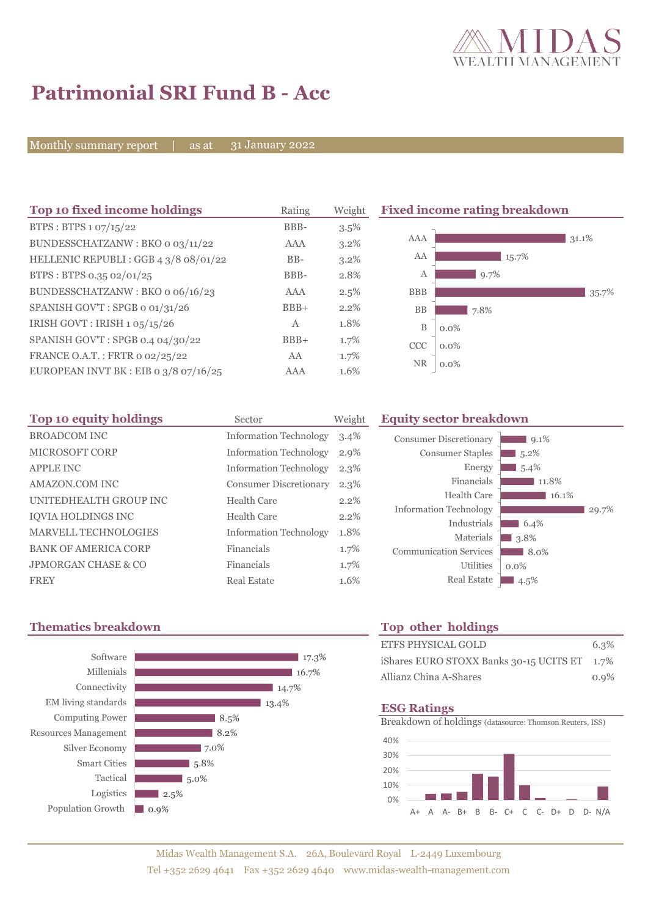

 $\Box$  9.1%  $\blacksquare$  5.2%  $5.4\%$ 

 $6.4\%$ 3.8<sup>%</sup> 8.0% 0.0%

11.8% 16.1%

 $29.7%$ 

## **Patrimonial SRI Fund B - Acc**

Monthly summary report | as at

31 January 2022

| Top 10 fixed income holdings            | Rating | Weight  | <b>Fixed income rating breakdown</b> |       |
|-----------------------------------------|--------|---------|--------------------------------------|-------|
| BTPS: BTPS 1 07/15/22                   | BBB-   | 3.5%    |                                      |       |
| BUNDESSCHATZANW: BKO o 03/11/22         | AAA    | 3.2%    | AAA                                  | 31.1% |
| HELLENIC REPUBLI : GGB 4 3/8 08/01/22   | $BB-$  | $3.2\%$ | AA<br>15.7%                          |       |
| BTPS: BTPS 0.35 02/01/25                | BBB-   | 2.8%    | 9.7%<br>А                            |       |
| BUNDESSCHATZANW: BKO o 06/16/23         | AAA    | 2.5%    | <b>BBB</b>                           | 35.7% |
| SPANISH GOV'T: SPGB o 01/31/26          | $BBB+$ | 2.2%    | <b>BB</b><br>7.8%                    |       |
| IRISH GOVT : IRISH $1.05/15/26$         | A      | 1.8%    | B<br>$0.0\%$                         |       |
| SPANISH GOV'T: SPGB 0.4 04/30/22        | $BBB+$ | 1.7%    | <b>CCC</b><br>$0.0\%$                |       |
| FRANCE O.A.T.: FRTR 0 02/25/22          | AA     | 1.7%    |                                      |       |
| EUROPEAN INVT BK : EIB o $3/8$ 07/16/25 | AAA    | 1.6%    | <b>NR</b><br>$0.0\%$                 |       |

| Top 10 equity holdings         | Sector                        | Weight  | <b>Equity sector breakdown</b>             |         |
|--------------------------------|-------------------------------|---------|--------------------------------------------|---------|
| <b>BROADCOM INC</b>            | <b>Information Technology</b> | $3.4\%$ | <b>Consumer Discretionary</b>              |         |
| <b>MICROSOFT CORP</b>          | <b>Information Technology</b> | 2.9%    | <b>Consumer Staples</b>                    | .5.     |
| <b>APPLE INC</b>               | <b>Information Technology</b> | $2.3\%$ | Energy                                     | -5.     |
| AMAZON.COM INC                 | <b>Consumer Discretionary</b> | $2.3\%$ | Financials                                 |         |
| UNITEDHEALTH GROUP INC         | Health Care                   | 2.2%    | Health Care                                |         |
| <b>IQVIA HOLDINGS INC</b>      | <b>Health Care</b>            | 2.2%    | <b>Information Technology</b>              |         |
| <b>MARVELL TECHNOLOGIES</b>    | <b>Information Technology</b> | 1.8%    | Industrials                                | - 6     |
| <b>BANK OF AMERICA CORP</b>    | Financials                    | 1.7%    | Materials<br><b>Communication Services</b> | 3.8     |
| <b>JPMORGAN CHASE &amp; CO</b> | Financials                    | 1.7%    | Utilities                                  | $0.0\%$ |
| <b>FREY</b>                    | <b>Real Estate</b>            | 1.6%    | <b>Real Estate</b>                         | 4.5     |

## **Thematics breakdown Top other holdings**



| ETFS PHYSICAL GOLD                           | 6.3%    |
|----------------------------------------------|---------|
| iShares EURO STOXX Banks 30-15 UCITS ET 1.7% |         |
| Allianz China A-Shares                       | $0.9\%$ |

Real Estate 4.5%

### **ESG Ratings**

Breakdown of holdings (datasource: Thomson Reuters, ISS)